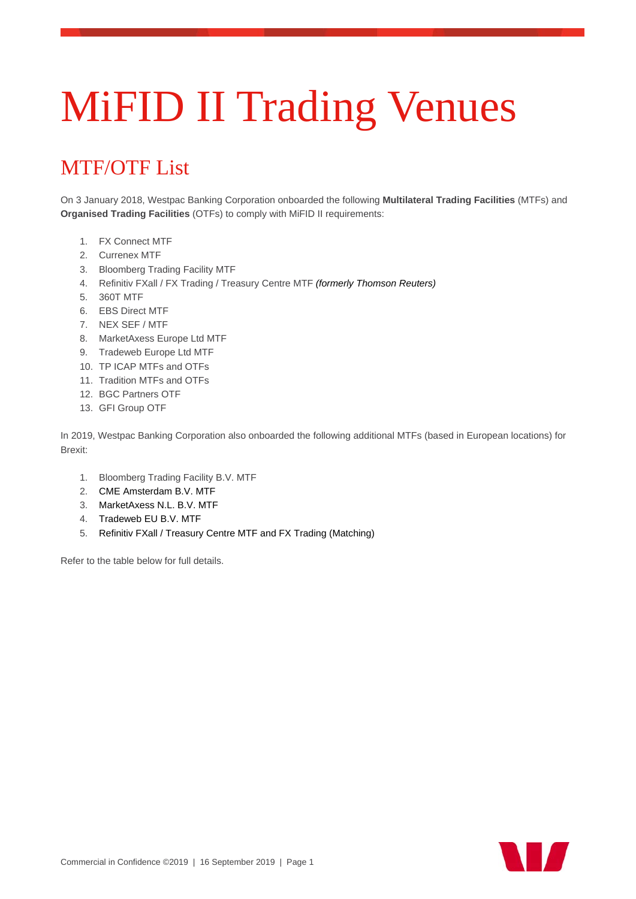## MiFID II Trading Venues

## MTF/OTF List

On 3 January 2018, Westpac Banking Corporation onboarded the following **Multilateral Trading Facilities** (MTFs) and **Organised Trading Facilities** (OTFs) to comply with MiFID II requirements:

- 1. FX Connect MTF
- 2. Currenex MTF
- 3. Bloomberg Trading Facility MTF
- 4. Refinitiv FXall / FX Trading / Treasury Centre MTF *(formerly Thomson Reuters)*
- 5. 360T MTF
- 6. EBS Direct MTF
- 7. NEX SEF / MTF
- 8. MarketAxess Europe Ltd MTF
- 9. Tradeweb Europe Ltd MTF
- 10. TP ICAP MTFs and OTFs
- 11. Tradition MTFs and OTFs
- 12. BGC Partners OTF
- 13. GFI Group OTF

In 2019, Westpac Banking Corporation also onboarded the following additional MTFs (based in European locations) for Brexit:

- 1. Bloomberg Trading Facility B.V. MTF
- 2. CME Amsterdam B.V. MTF
- 3. MarketAxess N.L. B.V. MTF
- 4. Tradeweb EU B.V. MTF
- 5. Refinitiv FXall / Treasury Centre MTF and FX Trading (Matching)

Refer to the table below for full details.